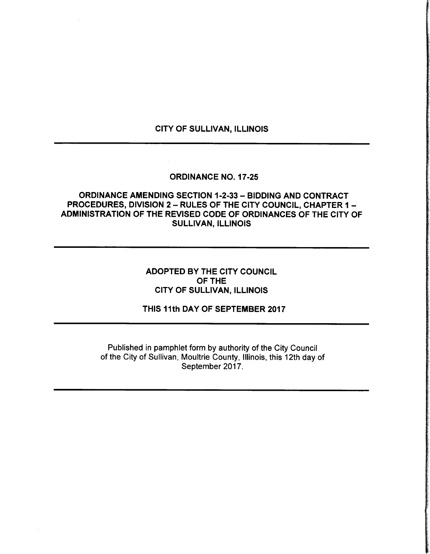## CITY OF SULLIVAN, ILLINOIS

#### ORDINANCE NO. 17-25

# ORDINANCE AMENDING SECTION 1-2-33 - BIDDING AND CONTRACT PROCEDURES, DIVISION 2 — RULES OF THE CITY COUNCIL, CHAPTER 1 — ADMINISTRATION OF THE REVISED CODE OF ORDINANCES OF THE CITY OF SULLIVAN, ILLINOIS

# ADOPTED BY THE CITY COUNCIL OF THE CITY OF SULLIVAN, ILLINOIS

THIS 11th DAY OF SEPTEMBER 2017

Published in pamphlet form by authority of the City Council of the City of Sullivan, Moultrie County, Illinois, this 12th day of September 2017.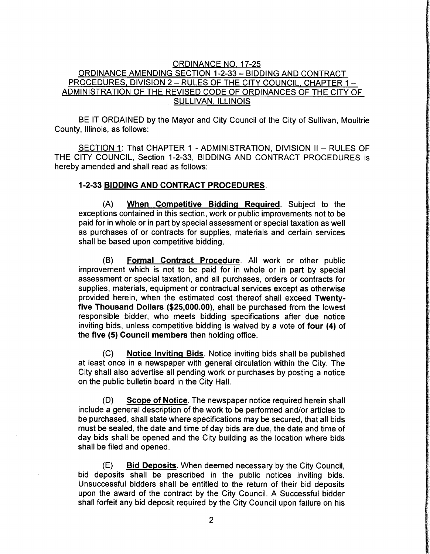## ORDINANCE NO. 17-25 ORDINANCE AMENDING SECTION 1-2-33 - BIDDING AND CONTRACT PROCEDURES, DIVISION 2 — RULES OF THE CITY COUNCIL, CHAPTER 1 — ADMINISTRATION OF THE REVISED CODE OF ORDINANCES OF THE CITY OF SULLIVAN, ILLINOIS

BE IT ORDAINED by the Mayor and City Council of the City of Sullivan, Moultrie County, Illinois, as follows:

SECTION 1: That CHAPTER 1 - ADMINISTRATION, DIVISION II — RULES OF THE CITY COUNCIL, Section 1-2-33, BIDDING AND CONTRACT PROCEDURES is hereby amended and shall read as follows:

#### 1-2-33 BIDDING AND CONTRACT PROCEDURES.

A) When Competitive Bidding Required. Subject to the exceptions contained in this section, work or public improvements not to be paid for in whole or in part by special assessment or special taxation as well as purchases of or contracts for supplies, materials and certain services shall be based upon competitive bidding.

B) Formal Contract Procedure. All work or other public improvement which is not to be paid for in whole or in part by special assessment or special taxation, and all purchases, orders or contracts for supplies, materials, equipment or contractual services except as otherwise provided herein, when the estimated cost thereof shall exceed Twentyfive Thousand Dollars (\$25,000.00), shall be purchased from the lowest responsible bidder, who meets bidding specifications after due notice inviting bids, unless competitive bidding is waived by a vote of four (4) of the five (5) Council members then holding office.

C) Notice Inviting Bids. Notice inviting bids shall be published at least once in a newspaper with general circulation within the City. The City shall also advertise all pending work or purchases by posting a notice on the public bulletin board in the City Hall.

D) Scope of Notice. The newspaper notice required herein shall include a general description of the work to be performed and/or articles to be purchased, shall state where specifications may be secured, that all bids must be sealed, the date and time of day bids are due, the date and time of day bids shall be opened and the City building as the location where bids shall be filed and opened.

E) Bid Deposits. When deemed necessary by the City Council, bid deposits shall be prescribed in the public notices inviting bids. Unsuccessful bidders shall be entitled to the return of their bid deposits upon the award of the contract by the City Council. A Successful bidder shall forfeit any bid deposit required by the City Council upon failure on his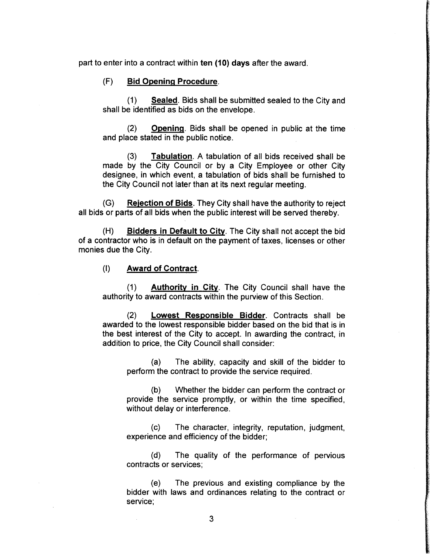part to enter into a contract within ten ( 10) days after the award.

#### F) Bid Opening Procedure.

1) Sealed. Bids shall be submitted sealed to the City and shall be identified as bids on the envelope.

2) Opening. Bids shall be opened in public at the time and place stated in the public notice.

3) Tabulation. A tabulation of all bids received shall be made by the City Council or by a City Employee or other City designee, in which event, a tabulation of bids shall be furnished to the City Council not later than at its next regular meeting.

 $(G)$  Rejection of Bids. They City shall have the authority to reject all bids or parts of all bids when the public interest will be served thereby.

(H) Bidders in Default to City. The City shall not accept the bid of a contractor who is in default on the payment of taxes, licenses or other monies due the City.

1) Award of Contract.

1) Authority in City. The City Council shall have the authority to award contracts within the purview of this Section.

2) Lowest Responsible Bidder. Contracts shall be awarded to the lowest responsible bidder based on the bid that is in the best interest of the City to accept. In awarding the contract, in addition to price, the City Council shall consider:

a) The ability, capacity and skill of the bidder to perform the contract to provide the service required.

b) Whether the bidder can perform the contract or provide the service promptly, or within the time specified, without delay or interference.

c) The character, integrity, reputation, judgment, experience and efficiency of the bidder;

d) The quality of the performance of pervious contracts or services;

e) The previous and existing compliance by the bidder with laws and ordinances relating to the contract or service;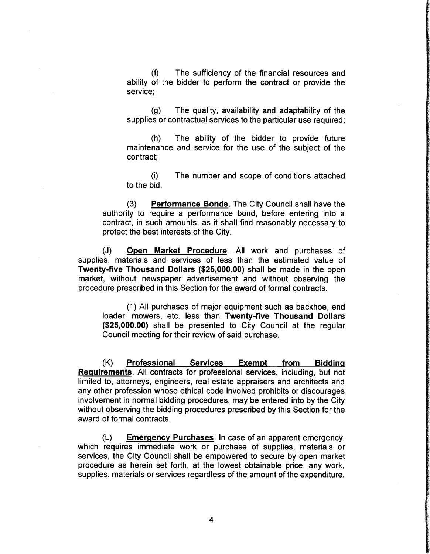f) The sufficiency of the financial resources and ability of the bidder to perform the contract or provide the service;

g) The quality, availability and adaptability of the supplies or contractual services to the particular use required;

h) The ability of the bidder to provide future maintenance and service for the use of the subject of the contract;

i) The number and scope of conditions attached to the bid.

(3) Performance Bonds. The City Council shall have the authority to require a performance bond, before entering into <sup>a</sup> contract, in such amounts, as it shall find reasonably necessary to protect the best interests of the City.

(J) Open Market Procedure. All work and purchases of supplies, materials and services of less than the estimated value of Twenty-five Thousand Dollars (\$25,000.00) shall be made in the open market, without newspaper advertisement and without observing the procedure prescribed in this Section for the award of formal contracts.

1) All purchases of major equipment such as backhoe, end loader, mowers, etc. less than Twenty-five Thousand Dollars 25,000.00) shall be presented to City Council at the regular Council meeting for their review of said purchase.

K) Professional Services Exempt from Bidding Requirements. All contracts for professional services, including, but not limited to, attorneys, engineers, real estate appraisers and architects and any other profession whose ethical code involved prohibits or discourages involvement in normal bidding procedures, may be entered into by the City without observing the bidding procedures prescribed by this Section for the award of formal contracts.

L) Emergency Purchases. In case of an apparent emergency, which requires immediate work or purchase of supplies, materials or services, the City Council shall be empowered to secure by open market procedure as herein set forth, at the lowest obtainable price, any work, supplies, materials or services regardless of the amount of the expenditure.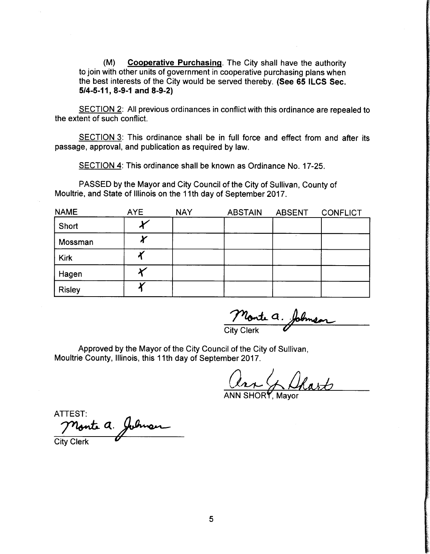(M) Cooperative Purchasing. The City shall have the authority to join with other units of government in cooperative purchasing plans when the best interests of the City would be served thereby. (See 65 ILCS Sec.  $5/4 - 5 - 11$ , 8-9-1 and 8-9-2)

SECTION 2: All previous ordinances in conflict with this ordinance are repealed to the extent of such conflict.

SECTION 3: This ordinance shall be in full force and effect from and after its passage, approval, and publication as required by law.

SECTION 4: This ordinance shall be known as Ordinance No. 17-25.

PASSED by the Mayor and City Council of the City of Sullivan, County of Moultrie, and State of Illinois on the 11th day of September 2017.

| <b>NAME</b>   | <b>AYE</b> | <b>NAY</b> | <b>ABSTAIN</b> | <b>ABSENT</b> | <b>CONFLICT</b> |
|---------------|------------|------------|----------------|---------------|-----------------|
| Short         |            |            |                |               |                 |
| Mossman       |            |            |                |               |                 |
| <b>Kirk</b>   |            |            |                |               |                 |
| Hagen         |            |            |                |               |                 |
| <b>Risley</b> |            |            |                |               |                 |

nonte a. Johns

City Clerk

Approved by the Mayor of the City Council of the City of Sullivan, Moultrie County, Illinois, this 11th day of September 2017.

are & Shart

ANN SHORY, Mayor

ATTEST: Monte a. Johnson **City Clerk**